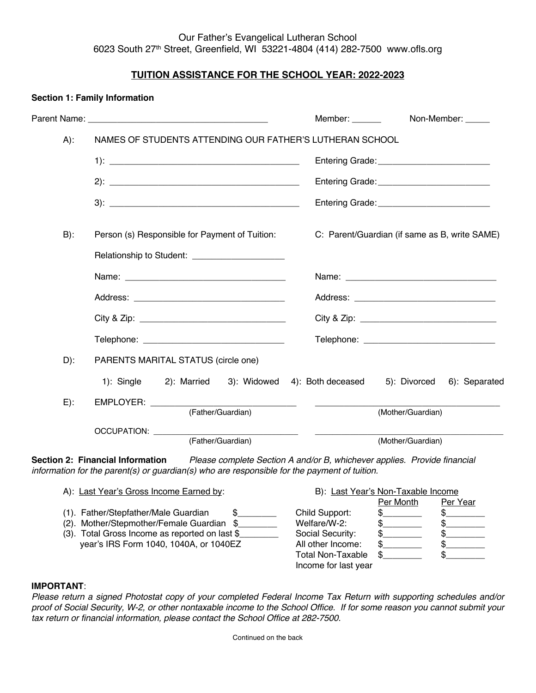## Our Father's Evangelical Lutheran School 6023 South 27th Street, Greenfield, WI 53221-4804 (414) 282-7500 www.ofls.org

# **TUITION ASSISTANCE FOR THE SCHOOL YEAR: 2022-2023**

|        |                                                                                                                                                                                                           | Member: ______<br>Non-Member: _____                            |  |  |
|--------|-----------------------------------------------------------------------------------------------------------------------------------------------------------------------------------------------------------|----------------------------------------------------------------|--|--|
| $A)$ : | NAMES OF STUDENTS ATTENDING OUR FATHER'S LUTHERAN SCHOOL                                                                                                                                                  |                                                                |  |  |
|        |                                                                                                                                                                                                           | Entering Grade: _____________________________                  |  |  |
|        |                                                                                                                                                                                                           |                                                                |  |  |
|        |                                                                                                                                                                                                           | Entering Grade: ____________________________                   |  |  |
| $B)$ : | Person (s) Responsible for Payment of Tuition:                                                                                                                                                            | C: Parent/Guardian (if same as B, write SAME)                  |  |  |
|        | Relationship to Student: _______________________                                                                                                                                                          |                                                                |  |  |
|        |                                                                                                                                                                                                           |                                                                |  |  |
|        |                                                                                                                                                                                                           |                                                                |  |  |
|        |                                                                                                                                                                                                           |                                                                |  |  |
|        |                                                                                                                                                                                                           |                                                                |  |  |
| $D)$ : | PARENTS MARITAL STATUS (circle one)                                                                                                                                                                       |                                                                |  |  |
|        | 1): Single<br>2): Married                                                                                                                                                                                 | 3): Widowed 4): Both deceased<br>5): Divorced<br>6): Separated |  |  |
| $E)$ : | EMPLOYER: _______<br><u> 1989 - Johann Barnett, fransk politiker</u>                                                                                                                                      | $\mathcal{L}_{\text{max}}$ and $\mathcal{L}_{\text{max}}$      |  |  |
|        | (Father/Guardian)                                                                                                                                                                                         | (Mother/Guardian)                                              |  |  |
|        | OCCUPATION: ________<br>(Father/Guardian)                                                                                                                                                                 | (Mother/Guardian)                                              |  |  |
|        | Section 2: Financial Information Please complete Section A and/or B, whichever applies. Provide financial<br>information for the parent(s) or guardian(s) who are responsible for the payment of tuition. |                                                                |  |  |
|        | A): Last Year's Gross Income Earned by:                                                                                                                                                                   | B): Last Year's Non-Taxable Income                             |  |  |

|                                                |                          | Per Month | Per Year |
|------------------------------------------------|--------------------------|-----------|----------|
|                                                | Child Support:           |           |          |
| (2). Mother/Stepmother/Female Guardian \$      | Welfare/W-2:             |           |          |
| (3). Total Gross Income as reported on last \$ | Social Security:         |           |          |
| year's IRS Form 1040, 1040A, or 1040EZ         | All other Income:        |           |          |
|                                                | <b>Total Non-Taxable</b> |           |          |
|                                                | Income for last year     |           |          |
|                                                |                          |           |          |

#### **IMPORTANT**:

**Section 1: Family Information**

*Please return a signed Photostat copy of your completed Federal Income Tax Return with supporting schedules and/or proof of Social Security, W-2, or other nontaxable income to the School Office. If for some reason you cannot submit your tax return or financial information, please contact the School Office at 282-7500.*